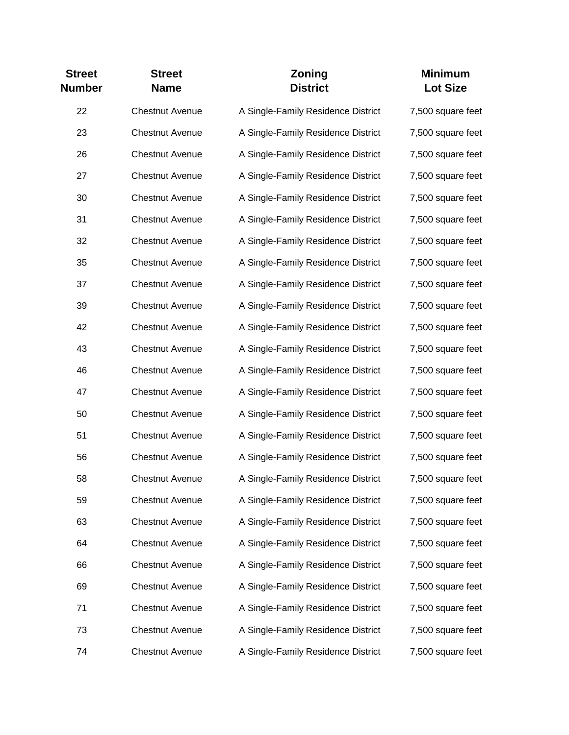| <b>Street</b><br><b>Number</b> | <b>Street</b><br><b>Name</b> | Zoning<br><b>District</b>          | <b>Minimum</b><br><b>Lot Size</b> |
|--------------------------------|------------------------------|------------------------------------|-----------------------------------|
| 22                             | <b>Chestnut Avenue</b>       | A Single-Family Residence District | 7,500 square feet                 |
| 23                             | <b>Chestnut Avenue</b>       | A Single-Family Residence District | 7,500 square feet                 |
| 26                             | <b>Chestnut Avenue</b>       | A Single-Family Residence District | 7,500 square feet                 |
| 27                             | <b>Chestnut Avenue</b>       | A Single-Family Residence District | 7,500 square feet                 |
| 30                             | <b>Chestnut Avenue</b>       | A Single-Family Residence District | 7,500 square feet                 |
| 31                             | <b>Chestnut Avenue</b>       | A Single-Family Residence District | 7,500 square feet                 |
| 32                             | <b>Chestnut Avenue</b>       | A Single-Family Residence District | 7,500 square feet                 |
| 35                             | <b>Chestnut Avenue</b>       | A Single-Family Residence District | 7,500 square feet                 |
| 37                             | <b>Chestnut Avenue</b>       | A Single-Family Residence District | 7,500 square feet                 |
| 39                             | <b>Chestnut Avenue</b>       | A Single-Family Residence District | 7,500 square feet                 |
| 42                             | <b>Chestnut Avenue</b>       | A Single-Family Residence District | 7,500 square feet                 |
| 43                             | <b>Chestnut Avenue</b>       | A Single-Family Residence District | 7,500 square feet                 |
| 46                             | <b>Chestnut Avenue</b>       | A Single-Family Residence District | 7,500 square feet                 |
| 47                             | <b>Chestnut Avenue</b>       | A Single-Family Residence District | 7,500 square feet                 |
| 50                             | <b>Chestnut Avenue</b>       | A Single-Family Residence District | 7,500 square feet                 |
| 51                             | <b>Chestnut Avenue</b>       | A Single-Family Residence District | 7,500 square feet                 |
| 56                             | <b>Chestnut Avenue</b>       | A Single-Family Residence District | 7,500 square feet                 |
| 58                             | <b>Chestnut Avenue</b>       | A Single-Family Residence District | 7,500 square feet                 |
| 59                             | <b>Chestnut Avenue</b>       | A Single-Family Residence District | 7,500 square feet                 |
| 63                             | <b>Chestnut Avenue</b>       | A Single-Family Residence District | 7,500 square feet                 |
| 64                             | <b>Chestnut Avenue</b>       | A Single-Family Residence District | 7,500 square feet                 |
| 66                             | <b>Chestnut Avenue</b>       | A Single-Family Residence District | 7,500 square feet                 |
| 69                             | <b>Chestnut Avenue</b>       | A Single-Family Residence District | 7,500 square feet                 |
| 71                             | <b>Chestnut Avenue</b>       | A Single-Family Residence District | 7,500 square feet                 |
| 73                             | <b>Chestnut Avenue</b>       | A Single-Family Residence District | 7,500 square feet                 |
| 74                             | <b>Chestnut Avenue</b>       | A Single-Family Residence District | 7,500 square feet                 |